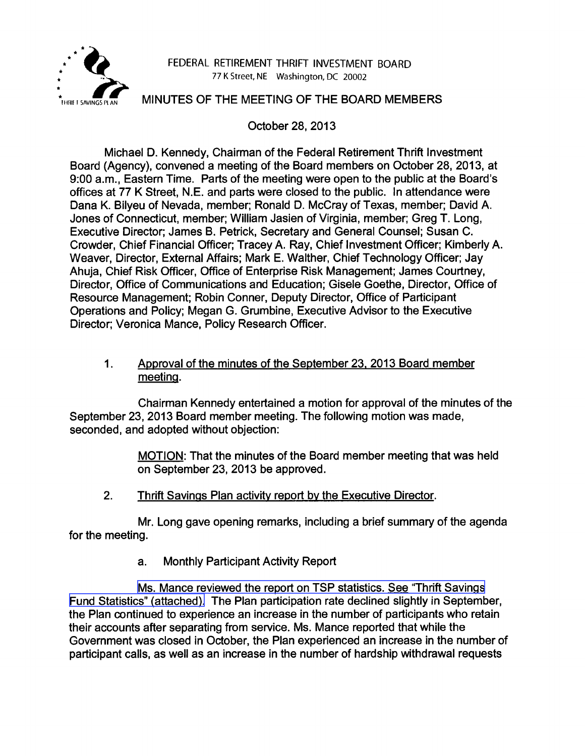

#### FEDERAL RETIREMENT THRIFT INVESTMENT BOARD 77 K Street, NE Washington, DC 20002

### MINUTES OF THE MEETING OF THE BOARD MEMBERS

October 28, 2013

Michael D. Kennedy, Chairman of the Federal Retirement Thrift Investment Board (Agency), convened a meeting of the Board members on October 28, 2013, at 9:00 a.m., Eastern Time. Parts of the meeting were open to the public at the Board's offices at 77 K Street, N.E. and parts were closed to the public. In attendance were Dana K. Bilyeu of Nevada, member; Ronald D. McCray of Texas, member; David A. Jones of Connecticut, member; William Jasien of Virginia, member; Greg T. Long, Executive Director; James B. Petrick, Secretary and General Counsel; Susan C. Crowder, Chief Financial Officer; Tracey A. Ray, Chief Investment Officer; Kimberly A. Weaver, Director, External Affairs; Mark E. Walther, Chief Technology Officer; Jay Ahuja, Chief Risk Officer, Office of Enterprise Risk Management; James Courtney, Director, Office of Communications and Education; Gisele Goethe, Director, Office of Resource Management; Robin Conner, Deputy Director, Office of Participant Operations and Policy; Megan G. Grumbine, Executive Advisor to the Executive Director; Veronica Mance, Policy Research Officer.

#### 1. Approval of the minutes of the September 23. 2013 Board member meeting.

Chairman Kennedy entertained a motion for approval of the minutes of the September 23, 2013 Board member meeting. The following motion was made, seconded, and adopted without objection:

> MOTION: That the minutes of the Board member meeting that was held on September 23, 2013 be approved.

2. Thrift Savings Plan activity report by the Executive Director.

Mr. Long gave opening remarks, including a brief summary of the agenda for the meeting.

a. Monthly Participant Activity Report

[Ms. Mance reviewed the report on TSP statistics. See "Thrift Savings](http://www.frtib.gov/pdf/minutes/MM-2013Oct-Att1.pdf)" [Fund Statistics" \(attached\).](http://www.frtib.gov/pdf/minutes/MM-2013Oct-Att1.pdf) The Plan participation rate declined slightly in September, the Plan continued to experience an increase in the number of participants who retain their accounts after separating from service. Ms. Mance reported that while the Government was closed in October, the Plan experienced an increase in the number of participant calls, as well as an increase in the number of hardship withdrawal requests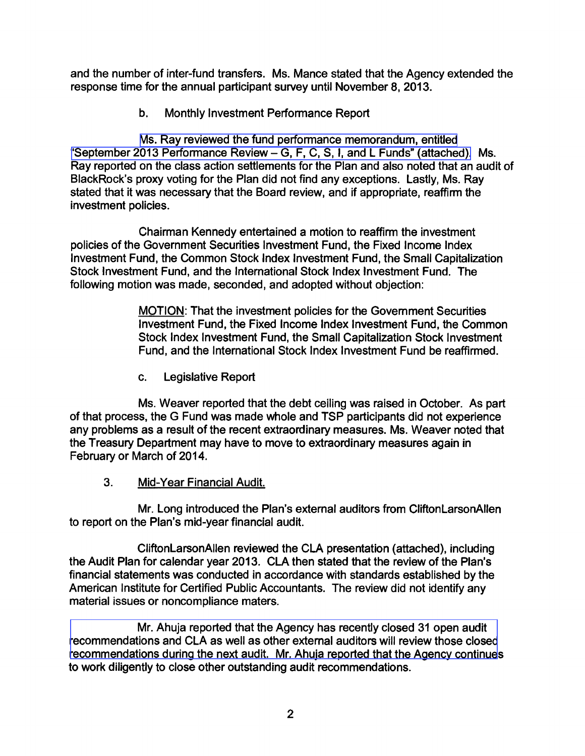and the number of inter-fund transfers. Ms. Mance stated that the Agency extended the response time for the annual participant survey until November 8, 2013.

b. Monthly Investment Performance Report

[Ms. Ray reviewed the fund performance memorandum, entitled](http://www.frtib.gov/pdf/minutes/MM-2013Oct-Att2.pdf) ["September 2013 Performance Review -](http://www.frtib.gov/pdf/minutes/MM-2013Oct-Att2.pdf) G, F, C, S, I, and L Funds" (attached). Ms. Ray reported on the class action settlements for the Plan and also noted that an audit of BlackRock's proxy voting for the Plan did not find any exceptions. Lastly, Ms. Ray stated that it was necessary that the Board review, and if appropriate, reaffirm the investment policies.

Chairman Kennedy entertained a motion to reaffirm the investment policies of the Government Securities Investment Fund, the Fixed Income Index Investment Fund, the Common Stock Index Investment Fund, the Small Capitalization Stock Investment Fund, and the International Stock Index Investment Fund. The following motion was made, seconded, and adopted without objection:

> MOTION: That the investment policies for the Government Securities Investment Fund, the Fixed Income Index Investment Fund, the Common Stock Index Investment Fund, the Small Capitalization Stock Investment Fund, and the International Stock Index Investment Fund be reaffirmed.

c. Legislative Report

Ms. Weaver reported that the debt ceiling was raised in October. As part of that process, the G Fund was made whole and TSP participants did not experience any problems as a result of the recent extraordinary measures. Ms. Weaver noted that the Treasury Department may have to move to extraordinary measures again in February or March of 2014.

3. Mid-Year Financial Audit.

Mr. Long introduced the Plan's external auditors from CliftonLarsonAllen to report on the Plan's mid-year financial audit.

CliftonLarsonAllen reviewed the CLA presentation (attached), including the Audit Plan for calendar year 2013. CLA then stated that the review of the Plan's financial statements was conducted in accordance with standards established by the American Institute for Certified Public Accountants. The review did not identify any material issues or noncompliance maters.

Mr. Ahuja reported that the Agency has recently closed 31 open audit [recommendations and CLA as well as other external auditors will review those closed](http://www.frtib.gov/pdf/minutes/MM-2013Oct-Att3.pdf) recommendations during the next audit. Mr. Ahuja reported that the Agency continues to work diligently to close other outstanding audit recommendations.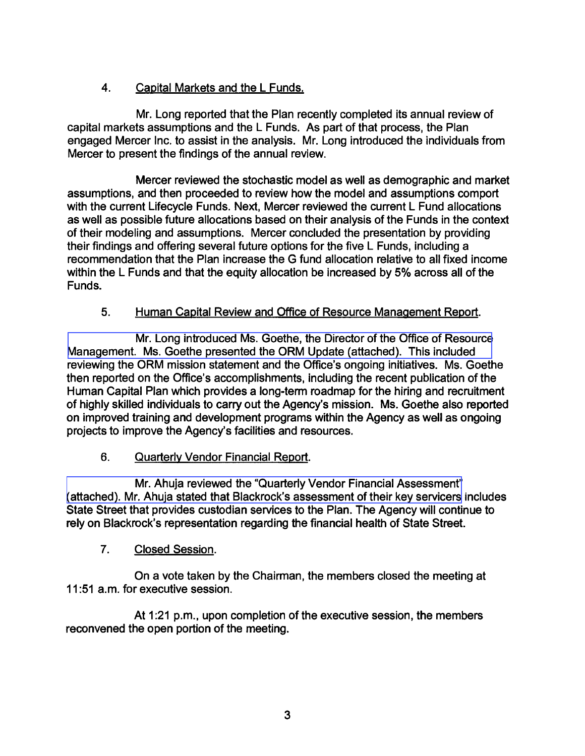# 4. Capital Markets and the L Funds.

Mr. Long reported that the Plan recently completed its annual review of capital markets assumptions and the L Funds. As part of that process, the Plan engaged Mercer Inc. to assist in the analysis. Mr. Long introduced the individuals from Mercer to present the findings of the annual review.

Mercer reviewed the stochastic model as well as demographic and market assumptions, and then proceeded to review how the model and assumptions comport with the current Lifecycle Funds. Next, Mercer reviewed the current L Fund allocations as well as possible future allocations based on their analysis of the Funds in the context of their modeling and assumptions. Mercer concluded the presentation by providing their findings and offering several future options for the five L Funds, including a recommendation that the Plan increase the G fund allocation relative to all fixed income within the L Funds and that the equity allocation be increased by 5% across all of the Funds.

## 5. Human Capital Review and Office of Resource Management Report.

Mr. Long introduced Ms. Goethe, the Director of the Office of Resource [Management. Ms. Goethe presented the ORM Update \(attached\). This included](http://www.frtib.gov/pdf/minutes/MM-2013Oct-Att4.pdf)  reviewing the ORM mission statement and the Office's ongoing initiatives. Ms. Goethe then reported on the Office's accomplishments, including the recent publication of the Human Capital Plan which provides a long-term roadmap for the hiring and recruitment of highly skilled individuals to carry out the Agency's mission. Ms. Goethe also reported on improved training and development programs within the Agency as well as ongoing projects to improve the Agency's facilities and resources.

# 6. Quarterly Vendor Financial Report.

Mr. Ahuja reviewed the "Quarterly Vendor Financial Assessment" [\(attached\). Mr. Ahuja stated that Blackrock's assessment of their key servicers](http://www.frtib.gov/pdf/minutes/MM-2013Oct-Att5.pdf) includes State Street that provides custodian services to the Plan. The Agency will continue to rely on Blackrock's representation regarding the financial health of State Street.

### 7. Closed Session.

On a vote taken by the Chairman, the members closed the meeting at 11 :51 a.m. for executive session.

At 1:21 p.m., upon completion of the executive session, the members reconvened the open portion of the meeting.